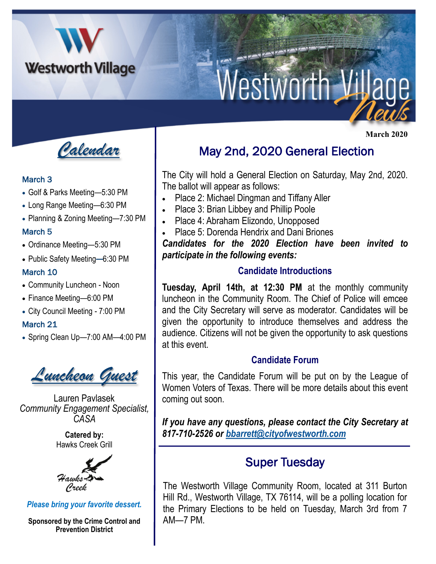

# Nestworth V

*Calendar*

#### March 3

- Golf & Parks Meeting—5:30 PM
- Long Range Meeting—6:30 PM
- Planning & Zoning Meeting—7:30 PM

#### March 5

- Ordinance Meeting—5:30 PM
- Public Safety Meeting—6:30 PM

#### March 10

- Community Luncheon Noon
- Finance Meeting—6:00 PM
- City Council Meeting 7:00 PM

#### March 21

• Spring Clean Up—7:00 AM—4:00 PM



Lauren Pavlasek *Community Engagement Specialist, CASA*

> **Catered by:**  Hawks Creek Grill



*Please bring your favorite dessert.* 

**Sponsored by the Crime Control and Prevention District**

## May 2nd, 2020 General Election

The City will hold a General Election on Saturday, May 2nd, 2020. The ballot will appear as follows:

- Place 2: Michael Dingman and Tiffany Aller
- Place 3: Brian Libbey and Phillip Poole
- Place 4: Abraham Elizondo, Unopposed
- Place 5: Dorenda Hendrix and Dani Briones

*Candidates for the 2020 Election have been invited to participate in the following events:*

#### **Candidate Introductions**

**Tuesday, April 14th, at 12:30 PM** at the monthly community luncheon in the Community Room. The Chief of Police will emcee and the City Secretary will serve as moderator. Candidates will be given the opportunity to introduce themselves and address the audience. Citizens will not be given the opportunity to ask questions at this event.

#### **Candidate Forum**

This year, the Candidate Forum will be put on by the League of Women Voters of Texas. There will be more details about this event coming out soon.

*If you have any questions, please contact the City Secretary at 817-710-2526 or [bbarrett@cityofwestworth.com](mailto:bbarrett@cityofwestworth.com)*

### Super Tuesday

The Westworth Village Community Room, located at 311 Burton Hill Rd., Westworth Village, TX 76114, will be a polling location for the Primary Elections to be held on Tuesday, March 3rd from 7 AM—7 PM.

 **March 2020**